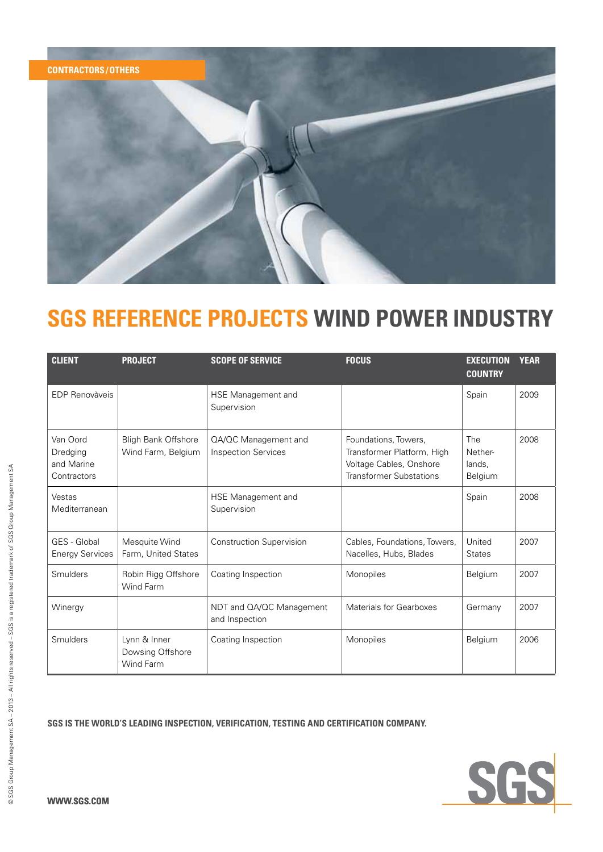

## **SGS REFERENCE PROJECTS WIND POWER INDUSTRY**

| <b>CLIENT</b>                                     | <b>PROJECT</b>                                   | <b>SCOPE OF SERVICE</b>                            | <b>FOCUS</b>                                                                                                    | <b>EXECUTION</b><br><b>COUNTRY</b>  | <b>YEAR</b> |
|---------------------------------------------------|--------------------------------------------------|----------------------------------------------------|-----------------------------------------------------------------------------------------------------------------|-------------------------------------|-------------|
| <b>EDP Renovàveis</b>                             |                                                  | HSE Management and<br>Supervision                  |                                                                                                                 | Spain                               | 2009        |
| Van Oord<br>Dredging<br>and Marine<br>Contractors | <b>Bligh Bank Offshore</b><br>Wind Farm, Belgium | QA/QC Management and<br><b>Inspection Services</b> | Foundations, Towers,<br>Transformer Platform, High<br>Voltage Cables, Onshore<br><b>Transformer Substations</b> | The<br>Nether-<br>lands,<br>Belgium | 2008        |
| Vestas<br>Mediterranean                           |                                                  | HSE Management and<br>Supervision                  |                                                                                                                 | Spain                               | 2008        |
| GES - Global<br><b>Energy Services</b>            | Mesquite Wind<br>Farm, United States             | <b>Construction Supervision</b>                    | Cables, Foundations, Towers,<br>Nacelles, Hubs, Blades                                                          | United<br><b>States</b>             | 2007        |
| Smulders                                          | Robin Rigg Offshore<br>Wind Farm                 | Coating Inspection                                 | Monopiles                                                                                                       | Belgium                             | 2007        |
| Winergy                                           |                                                  | NDT and QA/QC Management<br>and Inspection         | Materials for Gearboxes                                                                                         | Germany                             | 2007        |
| Smulders                                          | Lynn & Inner<br>Dowsing Offshore<br>Wind Farm    | Coating Inspection                                 | Monopiles                                                                                                       | Belgium                             | 2006        |

**SGS is the world's leading inspection, verification, testing and certification company.**